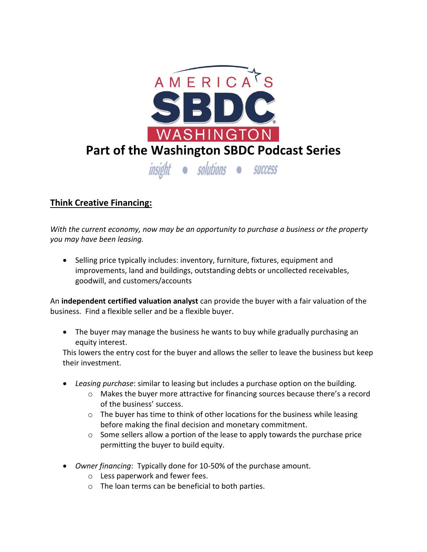

## **Think Creative Financing:**

*With the current economy, now may be an opportunity to purchase a business or the property you may have been leasing.*

• Selling price typically includes: inventory, furniture, fixtures, equipment and improvements, land and buildings, outstanding debts or uncollected receivables, goodwill, and customers/accounts

An **independent certified valuation analyst** can provide the buyer with a fair valuation of the business. Find a flexible seller and be a flexible buyer.

 The buyer may manage the business he wants to buy while gradually purchasing an equity interest.

This lowers the entry cost for the buyer and allows the seller to leave the business but keep their investment.

- *Leasing purchase*: similar to leasing but includes a purchase option on the building.
	- o Makes the buyer more attractive for financing sources because there's a record of the business' success.
	- $\circ$  The buyer has time to think of other locations for the business while leasing before making the final decision and monetary commitment.
	- o Some sellers allow a portion of the lease to apply towards the purchase price permitting the buyer to build equity.
- *Owner financing*: Typically done for 10-50% of the purchase amount.
	- o Less paperwork and fewer fees.
	- o The loan terms can be beneficial to both parties.